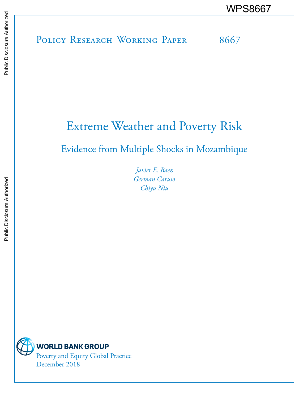POLICY RESEARCH WORKING PAPER 8667

# Extreme Weather and Poverty Risk

Evidence from Multiple Shocks in Mozambique

*Javier E. Baez German Caruso Chiyu Niu* 



**WORLD BANK GROUP** Poverty and Equity Global Practice December 2018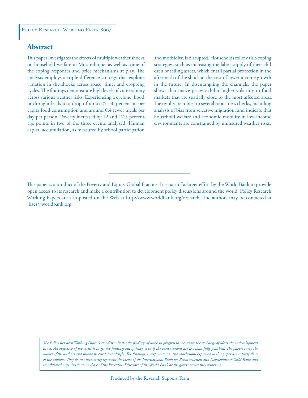### **Abstract**

This paper investigates the effects of multiple weather shocks on household welfare in Mozambique, as well as some of the coping responses and price mechanisms at play. The analysis employs a triple-diference strategy that exploits variation in the shocks across space, time, and cropping cycles. The findings demonstrate high levels of vulnerability across various weather risks. Experiencing a cyclone, flood, or drought leads to a drop of up to 25–30 percent in per capita food consumption and around 0.4 fewer meals per day per person. Poverty increased by 12 and 17.5 percentage points in two of the three events analyzed. Human capital accumulation, as measured by school participation

and morbidity, is disrupted. Households follow risk-coping strategies, such as increasing the labor supply of their children or selling assets, which entail partial protection in the aftermath of the shock at the cost of lower income growth in the future. In disentangling the channels, the paper shows that maize prices exhibit higher volatility in food markets that are spatially close to the most afected areas. he results are robust to several robustness checks, including analysis of bias from selective migration, and indicate that household welfare and economic mobility in low-income environments are constrained by uninsured weather risks.

*he Policy Research Working Paper Series disseminates the indings of work in progress to encourage the exchange of ideas about development issues. An objective of the series is to get the findings out quickly, even if the presentations are less than fully polished. The papers carry the names of the authors and should be cited accordingly. he indings, interpretations, and conclusions expressed in this paper are entirely those of the authors. hey do not necessarily represent the views of the International Bank for Reconstruction and Development/World Bank and its ailiated organizations, or those of the Executive Directors of the World Bank or the governments they represent.*

his paper is a product of the Poverty and Equity Global Practice. It is part of a larger efort by the World Bank to provide open access to its research and make a contribution to development policy discussions around the world. Policy Research Working Papers are also posted on the Web at http://www.worldbank.org/research. The authors may be contacted at jbaez@worldbank.org.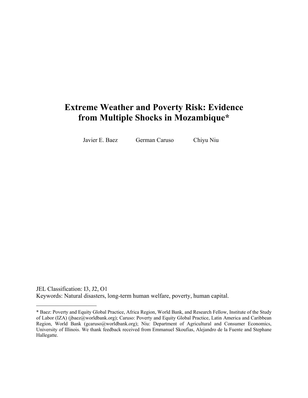## **Extreme Weather and Poverty Risk: Evidence from Multiple Shocks in Mozambique\***

Javier E. Baez German Caruso Chiyu Niu

 $\overline{\phantom{a}}$  , which is a set of the set of the set of the set of the set of the set of the set of the set of the set of the set of the set of the set of the set of the set of the set of the set of the set of the set of th

JEL Classification: I3, J2, O1 Keywords: Natural disasters, long-term human welfare, poverty, human capital.

<sup>\*</sup> Baez: Poverty and Equity Global Practice, Africa Region, World Bank, and Research Fellow, Institute of the Study of Labor (IZA) (jbaez@worldbank.org); Caruso: Poverty and Equity Global Practice, Latin America and Caribbean Region, World Bank (gcaruso@worldbank.org); Niu: Department of Agricultural and Consumer Economics, University of Illinois. We thank feedback received from Emmanuel Skoufias, Alejandro de la Fuente and Stephane Hallegatte.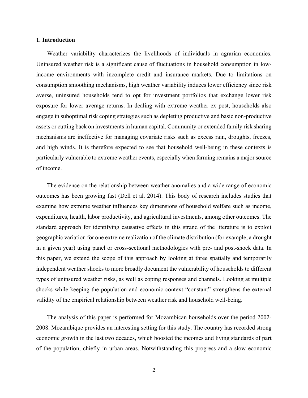#### **1. Introduction**

Weather variability characterizes the livelihoods of individuals in agrarian economies. Uninsured weather risk is a significant cause of fluctuations in household consumption in lowincome environments with incomplete credit and insurance markets. Due to limitations on consumption smoothing mechanisms, high weather variability induces lower efficiency since risk averse, uninsured households tend to opt for investment portfolios that exchange lower risk exposure for lower average returns. In dealing with extreme weather ex post, households also engage in suboptimal risk coping strategies such as depleting productive and basic non-productive assets or cutting back on investments in human capital. Community or extended family risk sharing mechanisms are ineffective for managing covariate risks such as excess rain, droughts, freezes, and high winds. It is therefore expected to see that household well-being in these contexts is particularly vulnerable to extreme weather events, especially when farming remains a major source of income.

The evidence on the relationship between weather anomalies and a wide range of economic outcomes has been growing fast (Dell et al. 2014). This body of research includes studies that examine how extreme weather influences key dimensions of household welfare such as income, expenditures, health, labor productivity, and agricultural investments, among other outcomes. The standard approach for identifying causative effects in this strand of the literature is to exploit geographic variation for one extreme realization of the climate distribution (for example, a drought in a given year) using panel or cross-sectional methodologies with pre- and post-shock data. In this paper, we extend the scope of this approach by looking at three spatially and temporarily independent weather shocks to more broadly document the vulnerability of households to different types of uninsured weather risks, as well as coping responses and channels. Looking at multiple shocks while keeping the population and economic context "constant" strengthens the external validity of the empirical relationship between weather risk and household well-being.

The analysis of this paper is performed for Mozambican households over the period 2002- 2008. Mozambique provides an interesting setting for this study. The country has recorded strong economic growth in the last two decades, which boosted the incomes and living standards of part of the population, chiefly in urban areas. Notwithstanding this progress and a slow economic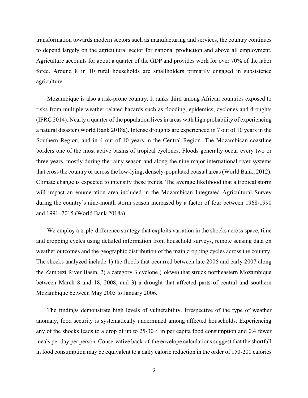transformation towards modern sectors such as manufacturing and services, the country continues to depend largely on the agricultural sector for national production and above all employment. Agriculture accounts for about a quarter of the GDP and provides work for over 70% of the labor force. Around 8 in 10 rural households are smallholders primarily engaged in subsistence agriculture.

Mozambique is also a risk-prone country. It ranks third among African countries exposed to risks from multiple weather-related hazards such as flooding, epidemics, cyclones and droughts (IFRC 2014). Nearly a quarter of the population lives in areas with high probability of experiencing a natural disaster (World Bank 2018a). Intense droughts are experienced in 7 out of 10 years in the Southern Region, and in 4 out of 10 years in the Central Region. The Mozambican coastline borders one of the most active basins of tropical cyclones. Floods generally occur every two or three years, mostly during the rainy season and along the nine major international river systems that cross the country or across the low-lying, densely-populated coastal areas (World Bank, 2012). Climate change is expected to intensify these trends. The average likelihood that a tropical storm will impact an enumeration area included in the Mozambican Integrated Agricultural Survey during the country's nine-month storm season increased by a factor of four between 1968-1990 and 1991–2015 (World Bank 2018a).

We employ a triple-difference strategy that exploits variation in the shocks across space, time and cropping cycles using detailed information from household surveys, remote sensing data on weather outcomes and the geographic distribution of the main cropping cycles across the country. The shocks analyzed include 1) the floods that occurred between late 2006 and early 2007 along the Zambezi River Basin, 2) a category 3 cyclone (Jokwe) that struck northeastern Mozambique between March 8 and 18, 2008, and 3) a drought that affected parts of central and southern Mozambique between May 2005 to January 2006.

The findings demonstrate high levels of vulnerability. Irrespective of the type of weather anomaly, food security is systematically undermined among affected households. Experiencing any of the shocks leads to a drop of up to 25-30% in per capita food consumption and 0.4 fewer meals per day per person. Conservative back-of-the envelope calculations suggest that the shortfall in food consumption may be equivalent to a daily caloric reduction in the order of 150-200 calories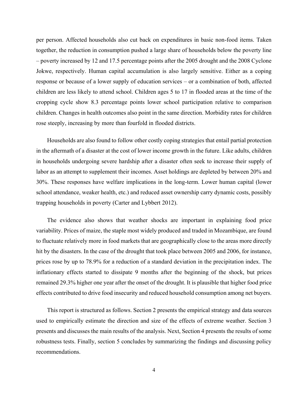per person. Affected households also cut back on expenditures in basic non-food items. Taken together, the reduction in consumption pushed a large share of households below the poverty line – poverty increased by 12 and 17.5 percentage points after the 2005 drought and the 2008 Cyclone Jokwe, respectively. Human capital accumulation is also largely sensitive. Either as a coping response or because of a lower supply of education services – or a combination of both, affected children are less likely to attend school. Children ages 5 to 17 in flooded areas at the time of the cropping cycle show 8.3 percentage points lower school participation relative to comparison children. Changes in health outcomes also point in the same direction. Morbidity rates for children rose steeply, increasing by more than fourfold in flooded districts.

Households are also found to follow other costly coping strategies that entail partial protection in the aftermath of a disaster at the cost of lower income growth in the future. Like adults, children in households undergoing severe hardship after a disaster often seek to increase their supply of labor as an attempt to supplement their incomes. Asset holdings are depleted by between 20% and 30%. These responses have welfare implications in the long-term. Lower human capital (lower school attendance, weaker health, etc.) and reduced asset ownership carry dynamic costs, possibly trapping households in poverty (Carter and Lybbert 2012).

The evidence also shows that weather shocks are important in explaining food price variability. Prices of maize, the staple most widely produced and traded in Mozambique, are found to fluctuate relatively more in food markets that are geographically close to the areas more directly hit by the disasters. In the case of the drought that took place between 2005 and 2006, for instance, prices rose by up to 78.9% for a reduction of a standard deviation in the precipitation index. The inflationary effects started to dissipate 9 months after the beginning of the shock, but prices remained 29.3% higher one year after the onset of the drought. It is plausible that higher food price effects contributed to drive food insecurity and reduced household consumption among net buyers.

This report is structured as follows. Section 2 presents the empirical strategy and data sources used to empirically estimate the direction and size of the effects of extreme weather. Section 3 presents and discusses the main results of the analysis. Next, Section 4 presents the results of some robustness tests. Finally, section 5 concludes by summarizing the findings and discussing policy recommendations.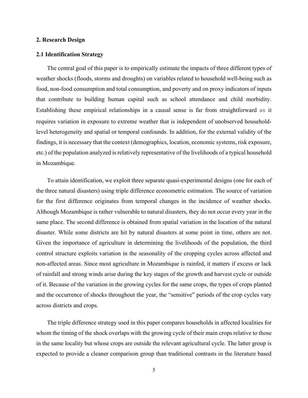#### **2. Research Design**

#### **2.1 Identification Strategy**

The central goal of this paper is to empirically estimate the impacts of three different types of weather shocks (floods, storms and droughts) on variables related to household well-being such as food, non-food consumption and total consumption, and poverty and on proxy indicators of inputs that contribute to building human capital such as school attendance and child morbidity. Establishing these empirical relationships in a causal sense is far from straightforward as it requires variation in exposure to extreme weather that is independent of unobserved householdlevel heterogeneity and spatial or temporal confounds. In addition, for the external validity of the findings, it is necessary that the context (demographics, location, economic systems, risk exposure, etc.) of the population analyzed is relatively representative of the livelihoods of a typical household in Mozambique.

To attain identification, we exploit three separate quasi-experimental designs (one for each of the three natural disasters) using triple difference econometric estimation. The source of variation for the first difference originates from temporal changes in the incidence of weather shocks. Although Mozambique is rather vulnerable to natural disasters, they do not occur every year in the same place. The second difference is obtained from spatial variation in the location of the natural disaster. While some districts are hit by natural disasters at some point in time, others are not. Given the importance of agriculture in determining the livelihoods of the population, the third control structure exploits variation in the seasonality of the cropping cycles across affected and non-affected areas. Since most agriculture in Mozambique is rainfed, it matters if excess or lack of rainfall and strong winds arise during the key stages of the growth and harvest cycle or outside of it. Because of the variation in the growing cycles for the same crops, the types of crops planted and the occurrence of shocks throughout the year, the "sensitive" periods of the crop cycles vary across districts and crops.

The triple difference strategy used in this paper compares households in affected localities for whom the timing of the shock overlaps with the growing cycle of their main crops relative to those in the same locality but whose crops are outside the relevant agricultural cycle. The latter group is expected to provide a cleaner comparison group than traditional contrasts in the literature based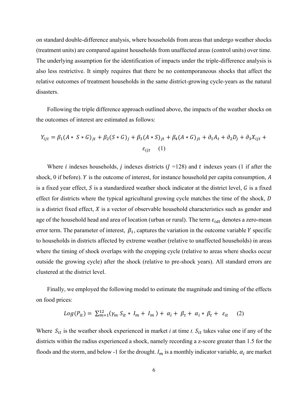on standard double-difference analysis, where households from areas that undergo weather shocks (treatment units) are compared against households from unaffected areas (control units) over time. The underlying assumption for the identification of impacts under the triple-difference analysis is also less restrictive. It simply requires that there be no contemporaneous shocks that affect the relative outcomes of treatment households in the same district-growing cycle-years as the natural disasters.

Following the triple difference approach outlined above, the impacts of the weather shocks on the outcomes of interest are estimated as follows:

$$
Y_{ijt} = \beta_1 (A * S * G)_{jt} + \beta_2 (S * G)_j + \beta_3 (A * S)_{jt} + \beta_4 (A * G)_{jt} + \partial_1 A_t + \partial_2 D_j + \partial_3 X_{ijt} + \epsilon_{ijt} \tag{1}
$$

Where *i* indexes households, *j* indexes districts ( $J = 128$ ) and *t* indexes years (1 if after the shock, 0 if before).  $Y$  is the outcome of interest, for instance household per capita consumption,  $A$ is a fixed year effect,  $S$  is a standardized weather shock indicator at the district level,  $G$  is a fixed effect for districts where the typical agricultural growing cycle matches the time of the shock, D is a district fixed effect,  $X$  is a vector of observable household characteristics such as gender and age of the household head and area of location (urban or rural). The term  $\varepsilon_{idt}$  denotes a zero-mean error term. The parameter of interest,  $\beta_1$ , captures the variation in the outcome variable Y specific to households in districts affected by extreme weather (relative to unaffected households) in areas where the timing of shock overlaps with the cropping cycle (relative to areas where shocks occur outside the growing cycle) after the shock (relative to pre-shock years). All standard errors are clustered at the district level.

Finally, we employed the following model to estimate the magnitude and timing of the effects on food prices:

$$
Log(P_{it}) = \sum_{m=1}^{12} (\gamma_m S_{it} * I_m + I_m) + \alpha_i + \beta_t + \alpha_i * \beta_t + \varepsilon_{it} \quad (2)
$$

Where  $S_{it}$  is the weather shock experienced in market *i* at time *t*.  $S_{it}$  takes value one if any of the districts within the radius experienced a shock, namely recording a z-score greater than 1.5 for the floods and the storm, and below -1 for the drought.  $I_m$  is a monthly indicator variable,  $\alpha_i$  are market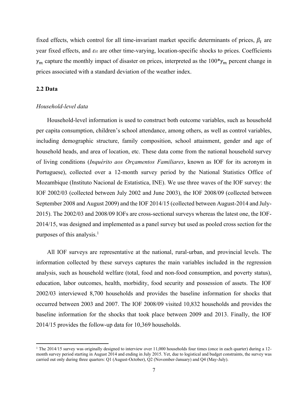fixed effects, which control for all time-invariant market specific determinants of prices,  $\beta_t$  are year fixed effects, and  $\varepsilon_{it}$  are other time-varying, location-specific shocks to prices. Coefficients  $\gamma_m$  capture the monthly impact of disaster on prices, interpreted as the 100<sup>\*</sup> $\gamma_m$  percent change in prices associated with a standard deviation of the weather index.

#### **2.2 Data**

 $\overline{a}$ 

#### *Household-level data*

Household-level information is used to construct both outcome variables, such as household per capita consumption, children's school attendance, among others, as well as control variables, including demographic structure, family composition, school attainment, gender and age of household heads, and area of location, etc. These data come from the national household survey of living conditions (*Inquérito aos Orçamentos Familiares*, known as IOF for its acronym in Portuguese), collected over a 12-month survey period by the National Statistics Office of Mozambique (Instituto Nacional de Estatistica, INE). We use three waves of the IOF survey: the IOF 2002/03 (collected between July 2002 and June 2003), the IOF 2008/09 (collected between September 2008 and August 2009) and the IOF 2014/15 (collected between August-2014 and July-2015). The 2002/03 and 2008/09 IOFs are cross-sectional surveys whereas the latest one, the IOF-2014/15, was designed and implemented as a panel survey but used as pooled cross section for the purposes of this analysis.<sup>1</sup>

All IOF surveys are representative at the national, rural-urban, and provincial levels. The information collected by these surveys captures the main variables included in the regression analysis, such as household welfare (total, food and non-food consumption, and poverty status), education, labor outcomes, health, morbidity, food security and possession of assets. The IOF 2002/03 interviewed 8,700 households and provides the baseline information for shocks that occurred between 2003 and 2007. The IOF 2008/09 visited 10,832 households and provides the baseline information for the shocks that took place between 2009 and 2013. Finally, the IOF 2014/15 provides the follow-up data for 10,369 households.

<sup>&</sup>lt;sup>1</sup> The 2014/15 survey was originally designed to interview over 11,000 households four times (once in each quarter) during a 12month survey period starting in August 2014 and ending in July 2015. Yet, due to logistical and budget constraints, the survey was carried out only during three quarters: Q1 (August-October), Q2 (November-January) and Q4 (May-July).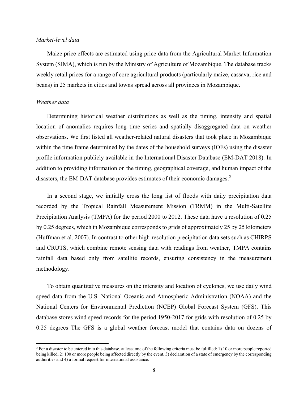#### *Market-level data*

Maize price effects are estimated using price data from the Agricultural Market Information System (SIMA), which is run by the Ministry of Agriculture of Mozambique. The database tracks weekly retail prices for a range of core agricultural products (particularly maize, cassava, rice and beans) in 25 markets in cities and towns spread across all provinces in Mozambique.

#### *Weather data*

 $\overline{a}$ 

Determining historical weather distributions as well as the timing, intensity and spatial location of anomalies requires long time series and spatially disaggregated data on weather observations. We first listed all weather-related natural disasters that took place in Mozambique within the time frame determined by the dates of the household surveys (IOFs) using the disaster profile information publicly available in the International Disaster Database (EM-DAT 2018). In addition to providing information on the timing, geographical coverage, and human impact of the disasters, the EM-DAT database provides estimates of their economic damages.<sup>2</sup>

In a second stage, we initially cross the long list of floods with daily precipitation data recorded by the Tropical Rainfall Measurement Mission (TRMM) in the Multi-Satellite Precipitation Analysis (TMPA) for the period 2000 to 2012. These data have a resolution of 0.25 by 0.25 degrees, which in Mozambique corresponds to grids of approximately 25 by 25 kilometers (Huffman et al. 2007). In contrast to other high-resolution precipitation data sets such as CHIRPS and CRUTS, which combine remote sensing data with readings from weather, TMPA contains rainfall data based only from satellite records, ensuring consistency in the measurement methodology.

To obtain quantitative measures on the intensity and location of cyclones, we use daily wind speed data from the U.S. [National Oceanic and Atmospheric Administration](http://www.noaa.gov/) (NOAA) and the [National Centers for Environmental Prediction](http://www.ncep.noaa.gov/) (NCEP) Global Forecast System (GFS). This database stores wind speed records for the period 1950-2017 for grids with resolution of 0.25 by 0.25 degrees The GFS is a global weather forecast model that contains data on dozens of

 $2^2$  For a disaster to be entered into this database, at least one of the following criteria must be fulfilled: 1) 10 or more people reported being killed, 2) 100 or more people being affected directly by the event, 3) declaration of a state of emergency by the corresponding authorities and 4) a formal request for international assistance.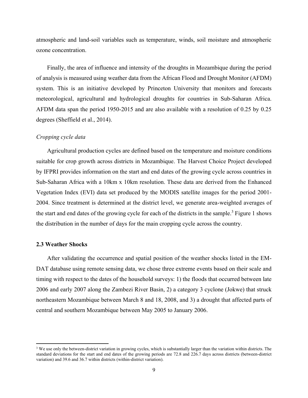atmospheric and land-soil variables such as temperature, winds, soil moisture and atmospheric ozone concentration.

Finally, the area of influence and intensity of the droughts in Mozambique during the period of analysis is measured using weather data from the African Flood and Drought Monitor (AFDM) system. This is an initiative developed by Princeton University that monitors and forecasts meteorological, agricultural and hydrological droughts for countries in Sub-Saharan Africa. AFDM data span the period 1950-2015 and are also available with a resolution of 0.25 by 0.25 degrees (Sheffield et al., 2014).

#### *Cropping cycle data*

Agricultural production cycles are defined based on the temperature and moisture conditions suitable for crop growth across districts in Mozambique. The Harvest Choice Project developed by IFPRI provides information on the start and end dates of the growing cycle across countries in Sub-Saharan Africa with a 10km x 10km resolution. These data are derived from the Enhanced Vegetation Index (EVI) data set produced by the MODIS satellite images for the period 2001- 2004. Since treatment is determined at the district level, we generate area-weighted averages of the start and end dates of the growing cycle for each of the districts in the sample.<sup>3</sup> Figure 1 shows the distribution in the number of days for the main cropping cycle across the country.

#### **2.3 Weather Shocks**

l

After validating the occurrence and spatial position of the weather shocks listed in the EM-DAT database using remote sensing data, we chose three extreme events based on their scale and timing with respect to the dates of the household surveys: 1) the floods that occurred between late 2006 and early 2007 along the Zambezi River Basin, 2) a category 3 cyclone (Jokwe) that struck northeastern Mozambique between March 8 and 18, 2008, and 3) a drought that affected parts of central and southern Mozambique between May 2005 to January 2006.

<sup>&</sup>lt;sup>3</sup> We use only the between-district variation in growing cycles, which is substantially larger than the variation within districts. The standard deviations for the start and end dates of the growing periods are 72.8 and 226.7 days across districts (between-district variation) and 39.6 and 36.7 within districts (within-district variation).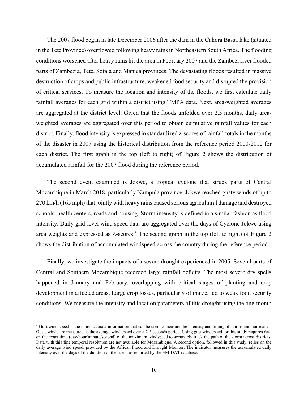The 2007 flood began in late December 2006 after the dam in the Cahora Bassa lake (situated in the Tete Province) overflowed following heavy rains in Northeastern South Africa. The flooding conditions worsened after heavy rains hit the area in February 2007 and the Zambezi river flooded parts of Zambezia, Tete, Sofala and Manica provinces. The devastating floods resulted in massive destruction of crops and public infrastructure, weakened food security and disrupted the provision of critical services. To measure the location and intensity of the floods, we first calculate daily rainfall averages for each grid within a district using TMPA data. Next, area-weighted averages are aggregated at the district level. Given that the floods unfolded over 2.5 months, daily areaweighted averages are aggregated over this period to obtain cumulative rainfall values for each district. Finally, flood intensity is expressed in standardized z-scores of rainfall totals in the months of the disaster in 2007 using the historical distribution from the reference period 2000-2012 for each district. The first graph in the top (left to right) of Figure 2 shows the distribution of accumulated rainfall for the 2007 flood during the reference period.

The second event examined is Jokwe, a tropical cyclone that struck parts of Central Mozambique in March 2018, particularly Nampula province. Jokwe reached gusty winds of up to 270 km/h (165 mph) that jointly with heavy rains caused serious agricultural damage and destroyed schools, health centers, roads and housing. Storm intensity is defined in a similar fashion as flood intensity. Daily grid-level wind speed data are aggregated over the days of Cyclone Jokwe using area weights and expressed as Z-scores.<sup>4</sup> The second graph in the top (left to right) of Figure 2 shows the distribution of accumulated windspeed across the country during the reference period.

Finally, we investigate the impacts of a severe drought experienced in 2005. Several parts of Central and Southern Mozambique recorded large rainfall deficits. The most severe dry spells happened in January and February, overlapping with critical stages of planting and crop development in affected areas. Large crop losses, particularly of maize, led to weak food security conditions. We measure the intensity and location parameters of this drought using the one-month

 $\overline{a}$ 

<sup>&</sup>lt;sup>4</sup> Gust wind speed is the more accurate information that can be used to measure the intensity and timing of storms and hurricanes. Gusts winds are measured as the average wind speed over a 2-3 seconds period. Using gust windspeed for this study requires data on the exact time (day/hour/minute/second) of the maximum windspeed to accurately track the path of the storm across districts. Data with this fine temporal resolution are not available for Mozambique. A second option, followed in this study, relies on the daily average wind speed, provided by the African Flood and Drought Monitor. The indicator measures the accumulated daily intensity over the days of the duration of the storm as reported by the EM-DAT database.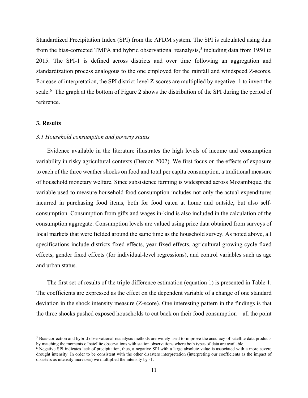Standardized Precipitation Index (SPI) from the AFDM system. The SPI is calculated using data from the bias-corrected TMPA and hybrid observational reanalysis,<sup>5</sup> including data from 1950 to 2015. The SPI-1 is defined across districts and over time following an aggregation and standardization process analogous to the one employed for the rainfall and windspeed Z-scores. For ease of interpretation, the SPI district-level Z-scores are multiplied by negative -1 to invert the scale.<sup>6</sup> The graph at the bottom of Figure 2 shows the distribution of the SPI during the period of reference.

#### **3. Results**

l

#### *3.1 Household consumption and poverty status*

Evidence available in the literature illustrates the high levels of income and consumption variability in risky agricultural contexts (Dercon 2002). We first focus on the effects of exposure to each of the three weather shocks on food and total per capita consumption, a traditional measure of household monetary welfare. Since subsistence farming is widespread across Mozambique, the variable used to measure household food consumption includes not only the actual expenditures incurred in purchasing food items, both for food eaten at home and outside, but also selfconsumption. Consumption from gifts and wages in-kind is also included in the calculation of the consumption aggregate. Consumption levels are valued using price data obtained from surveys of local markets that were fielded around the same time as the household survey. As noted above, all specifications include districts fixed effects, year fixed effects, agricultural growing cycle fixed effects, gender fixed effects (for individual-level regressions), and control variables such as age and urban status.

The first set of results of the triple difference estimation (equation 1) is presented in Table 1. The coefficients are expressed as the effect on the dependent variable of a change of one standard deviation in the shock intensity measure (Z-score). One interesting pattern in the findings is that the three shocks pushed exposed households to cut back on their food consumption – all the point

<sup>&</sup>lt;sup>5</sup> Bias-correction and hybrid observational reanalysis methods are widely used to improve the accuracy of satellite data products by matching the moments of satellite observations with station observations where both types of data are available.

<sup>&</sup>lt;sup>6</sup> Negative SPI indicates lack of precipitation, thus, a negative SPI with a large absolute value is associated with a more severe drought intensity. In order to be consistent with the other disasters interpretation (interpreting our coefficients as the impact of disasters as intensity increases) we multiplied the intensity by -1.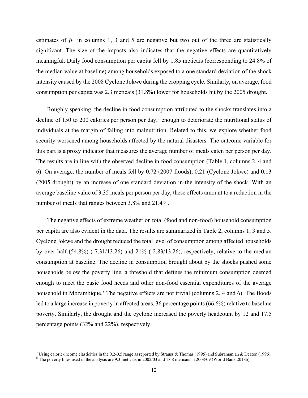estimates of  $\beta_1$  in columns 1, 3 and 5 are negative but two out of the three are statistically significant. The size of the impacts also indicates that the negative effects are quantitatively meaningful. Daily food consumption per capita fell by 1.85 meticais (corresponding to 24.8% of the median value at baseline) among households exposed to a one standard deviation of the shock intensity caused by the 2008 Cyclone Jokwe during the cropping cycle. Similarly, on average, food consumption per capita was 2.3 meticais (31.8%) lower for households hit by the 2005 drought.

Roughly speaking, the decline in food consumption attributed to the shocks translates into a decline of 150 to 200 calories per person per day,<sup>7</sup> enough to deteriorate the nutritional status of individuals at the margin of falling into malnutrition. Related to this, we explore whether food security worsened among households affected by the natural disasters. The outcome variable for this part is a proxy indicator that measures the average number of meals eaten per person per day. The results are in line with the observed decline in food consumption (Table 1, columns 2, 4 and 6). On average, the number of meals fell by 0.72 (2007 floods), 0.21 (Cyclone Jokwe) and 0.13 (2005 drought) by an increase of one standard deviation in the intensity of the shock. With an average baseline value of 3.35 meals per person per day, these effects amount to a reduction in the number of meals that ranges between 3.8% and 21.4%.

The negative effects of extreme weather on total (food and non-food) household consumption per capita are also evident in the data. The results are summarized in Table 2, columns 1, 3 and 5. Cyclone Jokwe and the drought reduced the total level of consumption among affected households by over half (54.8%) (-7.31/13.26) and 21% (-2.83/13.26), respectively, relative to the median consumption at baseline. The decline in consumption brought about by the shocks pushed some households below the poverty line, a threshold that defines the minimum consumption deemed enough to meet the basic food needs and other non-food essential expenditures of the average household in Mozambique.<sup>8</sup> The negative effects are not trivial (columns 2, 4 and 6). The floods led to a large increase in poverty in affected areas, 36 percentage points (66.6%) relative to baseline poverty. Similarly, the drought and the cyclone increased the poverty headcount by 12 and 17.5 percentage points (32% and 22%), respectively.

 $\overline{a}$ 

Using calorie-income elasticities in the 0.2-0.5 range as reported by Strauss & Thomas (1995) and Subramanian & Deaton (1996).

<sup>8</sup> The poverty lines used in the analysis are 9.3 meticais in 2002/03 and 18.8 meticais in 2008/09 (World Bank 2018b).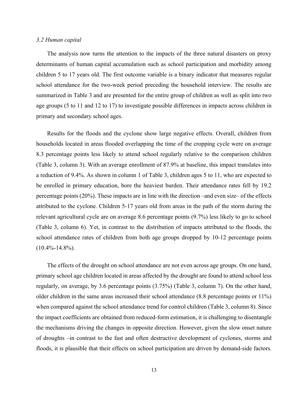#### *3.2 Human capital*

The analysis now turns the attention to the impacts of the three natural disasters on proxy determinants of human capital accumulation such as school participation and morbidity among children 5 to 17 years old. The first outcome variable is a binary indicator that measures regular school attendance for the two-week period preceding the household interview. The results are summarized in Table 3 and are presented for the entire group of children as well as split into two age groups (5 to 11 and 12 to 17) to investigate possible differences in impacts across children in primary and secondary school ages.

Results for the floods and the cyclone show large negative effects. Overall, children from households located in areas flooded overlapping the time of the cropping cycle were on average 8.3 percentage points less likely to attend school regularly relative to the comparison children (Table 3, column 3). With an average enrollment of 87.9% at baseline, this impact translates into a reduction of 9.4%. As shown in column 1 of Table 3, children ages 5 to 11, who are expected to be enrolled in primary education, bore the heaviest burden. Their attendance rates fell by 19.2 percentage points (20%). These impacts are in line with the direction –and even size– of the effects attributed to the cyclone. Children 5-17 years old from areas in the path of the storm during the relevant agricultural cycle are on average 8.6 percentage points (9.7%) less likely to go to school (Table 3, column 6). Yet, in contrast to the distribution of impacts attributed to the floods, the school attendance rates of children from both age groups dropped by 10-12 percentage points  $(10.4\% - 14.8\%)$ .

The effects of the drought on school attendance are not even across age groups. On one hand, primary school age children located in areas affected by the drought are found to attend school less regularly, on average, by 3.6 percentage points (3.75%) (Table 3, column 7). On the other hand, older children in the same areas increased their school attendance (8.8 percentage points or 11%) when compared against the school attendance trend for control children (Table 3, column 8). Since the impact coefficients are obtained from reduced-form estimation, it is challenging to disentangle the mechanisms driving the changes in opposite direction. However, given the slow onset nature of droughts –in contrast to the fast and often destructive development of cyclones, storms and floods, it is plausible that their effects on school participation are driven by demand-side factors.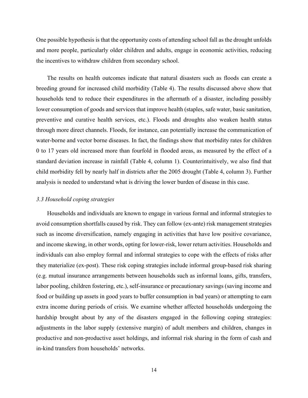One possible hypothesis is that the opportunity costs of attending school fall as the drought unfolds and more people, particularly older children and adults, engage in economic activities, reducing the incentives to withdraw children from secondary school.

The results on health outcomes indicate that natural disasters such as floods can create a breeding ground for increased child morbidity (Table 4). The results discussed above show that households tend to reduce their expenditures in the aftermath of a disaster, including possibly lower consumption of goods and services that improve health (staples, safe water, basic sanitation, preventive and curative health services, etc.). Floods and droughts also weaken health status through more direct channels. Floods, for instance, can potentially increase the communication of water-borne and vector borne diseases. In fact, the findings show that morbidity rates for children 0 to 17 years old increased more than fourfold in flooded areas, as measured by the effect of a standard deviation increase in rainfall (Table 4, column 1). Counterintuitively, we also find that child morbidity fell by nearly half in districts after the 2005 drought (Table 4, column 3). Further analysis is needed to understand what is driving the lower burden of disease in this case.

#### *3.3 Household coping strategies*

Households and individuals are known to engage in various formal and informal strategies to avoid consumption shortfalls caused by risk. They can follow (ex-ante) risk management strategies such as income diversification, namely engaging in activities that have low positive covariance, and income skewing, in other words, opting for lower-risk, lower return activities. Households and individuals can also employ formal and informal strategies to cope with the effects of risks after they materialize (ex-post). These risk coping strategies include informal group-based risk sharing (e.g. mutual insurance arrangements between households such as informal loans, gifts, transfers, labor pooling, children fostering, etc.), self-insurance or precautionary savings (saving income and food or building up assets in good years to buffer consumption in bad years) or attempting to earn extra income during periods of crisis. We examine whether affected households undergoing the hardship brought about by any of the disasters engaged in the following coping strategies: adjustments in the labor supply (extensive margin) of adult members and children, changes in productive and non-productive asset holdings, and informal risk sharing in the form of cash and in-kind transfers from households' networks.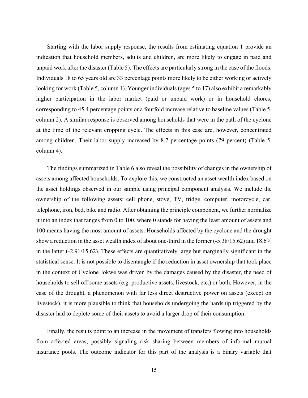Starting with the labor supply response, the results from estimating equation 1 provide an indication that household members, adults and children, are more likely to engage in paid and unpaid work after the disaster (Table 5). The effects are particularly strong in the case of the floods. Individuals 18 to 65 years old are 33 percentage points more likely to be either working or actively looking for work (Table 5, column 1). Younger individuals (ages 5 to 17) also exhibit a remarkably higher participation in the labor market (paid or unpaid work) or in household chores, corresponding to 45.4 percentage points or a fourfold increase relative to baseline values (Table 5, column 2). A similar response is observed among households that were in the path of the cyclone at the time of the relevant cropping cycle. The effects in this case are, however, concentrated among children. Their labor supply increased by 8.7 percentage points (79 percent) (Table 5, column 4).

The findings summarized in Table 6 also reveal the possibility of changes in the ownership of assets among affected households. To explore this, we constructed an asset wealth index based on the asset holdings observed in our sample using principal component analysis. We include the ownership of the following assets: cell phone, stove, TV, fridge, computer, motorcycle, car, telephone, iron, bed, bike and radio. After obtaining the principle component, we further normalize it into an index that ranges from 0 to 100, where 0 stands for having the least amount of assets and 100 means having the most amount of assets. Households affected by the cyclone and the drought show a reduction in the asset wealth index of about one-third in the former (-5.38/15.62) and 18.6% in the latter (-2.91/15.62). These effects are quantitatively large but marginally significant in the statistical sense. It is not possible to disentangle if the reduction in asset ownership that took place in the context of Cyclone Jokwe was driven by the damages caused by the disaster, the need of households to sell off some assets (e.g. productive assets, livestock, etc.) or both. However, in the case of the drought, a phenomenon with far less direct destructive power on assets (except on livestock), it is more plausible to think that households undergoing the hardship triggered by the disaster had to deplete some of their assets to avoid a larger drop of their consumption.

Finally, the results point to an increase in the movement of transfers flowing into households from affected areas, possibly signaling risk sharing between members of informal mutual insurance pools. The outcome indicator for this part of the analysis is a binary variable that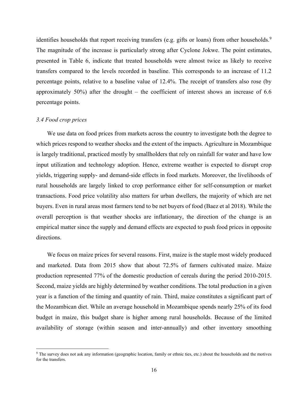identifies households that report receiving transfers (e.g. gifts or loans) from other households.<sup>9</sup> The magnitude of the increase is particularly strong after Cyclone Jokwe. The point estimates, presented in Table 6, indicate that treated households were almost twice as likely to receive transfers compared to the levels recorded in baseline. This corresponds to an increase of 11.2 percentage points, relative to a baseline value of 12.4%. The receipt of transfers also rose (by approximately 50%) after the drought – the coefficient of interest shows an increase of 6.6 percentage points.

#### *3.4 Food crop prices*

 $\overline{a}$ 

We use data on food prices from markets across the country to investigate both the degree to which prices respond to weather shocks and the extent of the impacts. Agriculture in Mozambique is largely traditional, practiced mostly by smallholders that rely on rainfall for water and have low input utilization and technology adoption. Hence, extreme weather is expected to disrupt crop yields, triggering supply- and demand-side effects in food markets. Moreover, the livelihoods of rural households are largely linked to crop performance either for self-consumption or market transactions. Food price volatility also matters for urban dwellers, the majority of which are net buyers. Even in rural areas most farmers tend to be net buyers of food (Baez et al 2018). While the overall perception is that weather shocks are inflationary, the direction of the change is an empirical matter since the supply and demand effects are expected to push food prices in opposite directions.

We focus on maize prices for several reasons. First, maize is the staple most widely produced and marketed. Data from 2015 show that about 72.5% of farmers cultivated maize. Maize production represented 77% of the domestic production of cereals during the period 2010-2015. Second, maize yields are highly determined by weather conditions. The total production in a given year is a function of the timing and quantity of rain. Third, maize constitutes a significant part of the Mozambican diet. While an average household in Mozambique spends nearly 25% of its food budget in maize, this budget share is higher among rural households. Because of the limited availability of storage (within season and inter-annually) and other inventory smoothing

<sup>&</sup>lt;sup>9</sup> The survey does not ask any information (geographic location, family or ethnic ties, etc.) about the households and the motives for the transfers.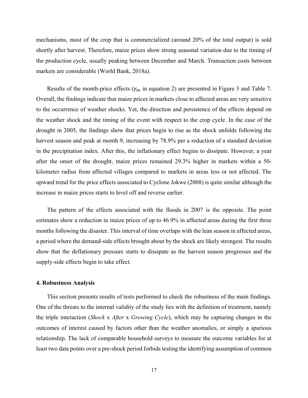mechanisms, most of the crop that is commercialized (around 20% of the total output) is sold shortly after harvest. Therefore, maize prices show strong seasonal variation due to the timing of the production cycle, usually peaking between December and March. Transaction costs between markets are considerable (World Bank, 2018a).

Results of the month-price effects ( $\gamma_m$  in equation 2) are presented in Figure 3 and Table 7. Overall, the findings indicate that maize prices in markets close to affected areas are very sensitive to the occurrence of weather shocks. Yet, the direction and persistence of the effects depend on the weather shock and the timing of the event with respect to the crop cycle. In the case of the drought in 2005, the findings show that prices begin to rise as the shock unfolds following the harvest season and peak at month 9, increasing by 78.9% per a reduction of a standard deviation in the precipitation index. After this, the inflationary effect begins to dissipate. However, a year after the onset of the drought, maize prices remained 29.3% higher in markets within a 50 kilometer radius from affected villages compared to markets in areas less or not affected. The upward trend for the price effects associated to Cyclone Jokwe (2008) is quite similar although the increase in maize prices starts to level off and reverse earlier.

The pattern of the effects associated with the floods in 2007 is the opposite. The point estimates show a reduction in maize prices of up to 46.9% in affected areas during the first three months following the disaster. This interval of time overlaps with the lean season in affected areas, a period where the demand-side effects brought about by the shock are likely strongest. The results show that the deflationary pressure starts to dissipate as the harvest season progresses and the supply-side effects begin to take effect.

#### **4. Robustness Analysis**

This section presents results of tests performed to check the robustness of the main findings. One of the threats to the internal validity of the study lies with the definition of treatment, namely the triple interaction (*Shock* x *After* x *Growing Cycle*), which may be capturing changes in the outcomes of interest caused by factors other than the weather anomalies, or simply a spurious relationship. The lack of comparable household surveys to measure the outcome variables for at least two data points over a pre-shock period forbids testing the identifying assumption of common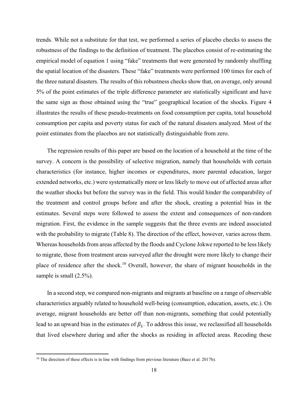trends. While not a substitute for that test, we performed a series of placebo checks to assess the robustness of the findings to the definition of treatment. The placebos consist of re-estimating the empirical model of equation 1 using "fake" treatments that were generated by randomly shuffling the spatial location of the disasters. These "fake" treatments were performed 100 times for each of the three natural disasters. The results of this robustness checks show that, on average, only around 5% of the point estimates of the triple difference parameter are statistically significant and have the same sign as those obtained using the "true" geographical location of the shocks. Figure 4 illustrates the results of these pseudo-treatments on food consumption per capita, total household consumption per capita and poverty status for each of the natural disasters analyzed. Most of the point estimates from the placebos are not statistically distinguishable from zero.

The regression results of this paper are based on the location of a household at the time of the survey. A concern is the possibility of selective migration, namely that households with certain characteristics (for instance, higher incomes or expenditures, more parental education, larger extended networks, etc.) were systematically more or less likely to move out of affected areas after the weather shocks but before the survey was in the field. This would hinder the comparability of the treatment and control groups before and after the shock, creating a potential bias in the estimates. Several steps were followed to assess the extent and consequences of non-random migration. First, the evidence in the sample suggests that the three events are indeed associated with the probability to migrate (Table 8). The direction of the effect, however, varies across them. Whereas households from areas affected by the floods and Cyclone Jokwe reported to be less likely to migrate, those from treatment areas surveyed after the drought were more likely to change their place of residence after the shock.<sup>10</sup> Overall, however, the share of migrant households in the sample is small  $(2.5\%)$ .

In a second step, we compared non-migrants and migrants at baseline on a range of observable characteristics arguably related to household well-being (consumption, education, assets, etc.). On average, migrant households are better off than non-migrants, something that could potentially lead to an upward bias in the estimates of  $\beta_1$ . To address this issue, we reclassified all households that lived elsewhere during and after the shocks as residing in affected areas. Recoding these

l

<sup>&</sup>lt;sup>10</sup> The direction of these effects is in line with findings from previous literature (Baez et al. 2017b).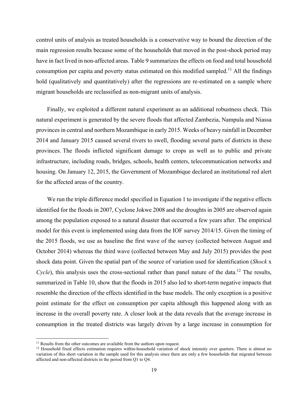control units of analysis as treated households is a conservative way to bound the direction of the main regression results because some of the households that moved in the post-shock period may have in fact lived in non-affected areas. Table 9 summarizes the effects on food and total household consumption per capita and poverty status estimated on this modified sampled.<sup>11</sup> All the findings hold (qualitatively and quantitatively) after the regressions are re-estimated on a sample where migrant households are reclassified as non-migrant units of analysis.

Finally, we exploited a different natural experiment as an additional robustness check. This natural experiment is generated by the severe floods that affected Zambezia, Nampula and Niassa provinces in central and northern Mozambique in early 2015. Weeks of heavy rainfall in December 2014 and January 2015 caused several rivers to swell, flooding several parts of districts in these provinces. The floods inflicted significant damage to crops as well as to public and private infrastructure, including roads, bridges, schools, health centers, telecommunication networks and housing. On January 12, 2015, the Government of Mozambique declared an institutional red alert for the affected areas of the country.

We run the triple difference model specified in Equation 1 to investigate if the negative effects identified for the floods in 2007, Cyclone Jokwe 2008 and the droughts in 2005 are observed again among the population exposed to a natural disaster that occurred a few years after. The empirical model for this event is implemented using data from the IOF survey 2014/15. Given the timing of the 2015 floods, we use as baseline the first wave of the survey (collected between August and October 2014) whereas the third wave (collected between May and July 2015) provides the post shock data point. Given the spatial part of the source of variation used for identification (*Shock* x *Cycle*), this analysis uses the cross-sectional rather than panel nature of the data.<sup>12</sup> The results, summarized in Table 10, show that the floods in 2015 also led to short-term negative impacts that resemble the direction of the effects identified in the base models. The only exception is a positive point estimate for the effect on consumption per capita although this happened along with an increase in the overall poverty rate. A closer look at the data reveals that the average increase in consumption in the treated districts was largely driven by a large increase in consumption for

l

<sup>&</sup>lt;sup>11</sup> Results from the other outcomes are available from the authors upon request.

<sup>&</sup>lt;sup>12</sup> Household fixed effects estimation requires within-household variation of shock intensity over quarters. There is almost no variation of this short variation in the sample used for this analysis since there are only a few households that migrated between affected and non-affected districts in the period from Q1 to Q4.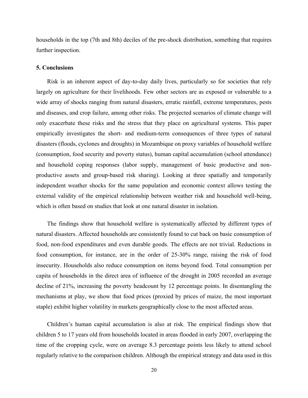households in the top (7th and 8th) deciles of the pre-shock distribution, something that requires further inspection.

#### **5. Conclusions**

Risk is an inherent aspect of day-to-day daily lives, particularly so for societies that rely largely on agriculture for their livelihoods. Few other sectors are as exposed or vulnerable to a wide array of shocks ranging from natural disasters, erratic rainfall, extreme temperatures, pests and diseases, and crop failure, among other risks. The projected scenarios of climate change will only exacerbate these risks and the stress that they place on agricultural systems. This paper empirically investigates the short- and medium-term consequences of three types of natural disasters (floods, cyclones and droughts) in Mozambique on proxy variables of household welfare (consumption, food security and poverty status), human capital accumulation (school attendance) and household coping responses (labor supply, management of basic productive and nonproductive assets and group-based risk sharing). Looking at three spatially and temporarily independent weather shocks for the same population and economic context allows testing the external validity of the empirical relationship between weather risk and household well-being, which is often based on studies that look at one natural disaster in isolation.

The findings show that household welfare is systematically affected by different types of natural disasters. Affected households are consistently found to cut back on basic consumption of food, non-food expenditures and even durable goods. The effects are not trivial. Reductions in food consumption, for instance, are in the order of 25-30% range, raising the risk of food insecurity. Households also reduce consumption on items beyond food. Total consumption per capita of households in the direct area of influence of the drought in 2005 recorded an average decline of 21%, increasing the poverty headcount by 12 percentage points. In disentangling the mechanisms at play, we show that food prices (proxied by prices of maize, the most important staple) exhibit higher volatility in markets geographically close to the most affected areas.

Children's human capital accumulation is also at risk. The empirical findings show that children 5 to 17 years old from households located in areas flooded in early 2007, overlapping the time of the cropping cycle, were on average 8.3 percentage points less likely to attend school regularly relative to the comparison children. Although the empirical strategy and data used in this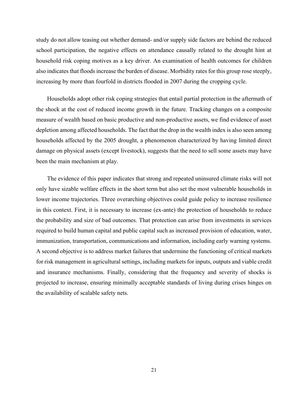study do not allow teasing out whether demand- and/or supply side factors are behind the reduced school participation, the negative effects on attendance causally related to the drought hint at household risk coping motives as a key driver. An examination of health outcomes for children also indicates that floods increase the burden of disease. Morbidity rates for this group rose steeply, increasing by more than fourfold in districts flooded in 2007 during the cropping cycle.

Households adopt other risk coping strategies that entail partial protection in the aftermath of the shock at the cost of reduced income growth in the future. Tracking changes on a composite measure of wealth based on basic productive and non-productive assets, we find evidence of asset depletion among affected households. The fact that the drop in the wealth index is also seen among households affected by the 2005 drought, a phenomenon characterized by having limited direct damage on physical assets (except livestock), suggests that the need to sell some assets may have been the main mechanism at play.

The evidence of this paper indicates that strong and repeated uninsured climate risks will not only have sizable welfare effects in the short term but also set the most vulnerable households in lower income trajectories. Three overarching objectives could guide policy to increase resilience in this context. First, it is necessary to increase (ex-ante) the protection of households to reduce the probability and size of bad outcomes. That protection can arise from investments in services required to build human capital and public capital such as increased provision of education, water, immunization, transportation, communications and information, including early warning systems. A second objective is to address market failures that undermine the functioning of critical markets for risk management in agricultural settings, including markets for inputs, outputs and viable credit and insurance mechanisms. Finally, considering that the frequency and severity of shocks is projected to increase, ensuring minimally acceptable standards of living during crises hinges on the availability of scalable safety nets.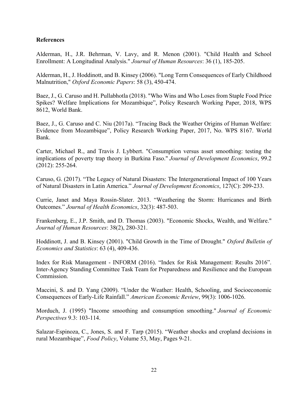#### **References**

Alderman, H., J.R. Behrman, V. Lavy, and R. Menon (2001). "Child Health and School Enrollment: A Longitudinal Analysis." *Journal of Human Resources*: 36 (1), 185-205.

Alderman, H., J. Hoddinott, and B. Kinsey (2006). "Long Term Consequences of Early Childhood Malnutrition," *Oxford Economic Papers*: 58 (3), 450-474.

Baez, J., G. Caruso and H. Pullabhotla (2018). "Who Wins and Who Loses from Staple Food Price Spikes? Welfare Implications for Mozambique", Policy Research Working Paper, 2018, WPS 8612, World Bank.

Baez, J., G. Caruso and C. Niu (2017a). "Tracing Back the Weather Origins of Human Welfare: Evidence from Mozambique", Policy Research Working Paper, 2017, No. WPS 8167. World Bank.

Carter, Michael R., and Travis J. Lybbert. "Consumption versus asset smoothing: testing the implications of poverty trap theory in Burkina Faso." *Journal of Development Economics*, 99.2 (2012): 255-264.

Caruso, G. (2017). "The Legacy of Natural Disasters: The Intergenerational Impact of 100 Years of Natural Disasters in Latin America." *Journal of Development Economics*, 127(C): 209-233.

Currie, Janet and Maya Rossin-Slater. 2013. "Weathering the Storm: Hurricanes and Birth Outcomes." *Journal of Health Economics*, 32(3): 487-503.

Frankenberg, E., J.P. Smith, and D. Thomas (2003). "Economic Shocks, Wealth, and Welfare." *Journal of Human Resources*: 38(2), 280-321.

Hoddinott, J. and B. Kinsey (2001). "Child Growth in the Time of Drought." *Oxford Bulletin of Economics and Statistics*: 63 (4), 409-436.

Index for Risk Management - INFORM (2016). "Index for Risk Management: Results 2016". Inter-Agency Standing Committee Task Team for Preparedness and Resilience and the European Commission.

Maccini, S. and D. Yang (2009). "Under the Weather: Health, Schooling, and Socioeconomic Consequences of Early-Life Rainfall." *American Economic Review*, 99(3): 1006-1026.

Morduch, J. (1995) "Income smoothing and consumption smoothing." *Journal of Economic Perspectives* 9.3: 103-114.

[Salazar-Espinoza, C., Jones, S. and F. Ta](https://www.sciencedirect.com/science/article/pii/S0306919215000238#!)rp (2015). "Weather shocks and cropland decisions in rural Mozambique", *[Food Policy](https://www.sciencedirect.com/science/journal/03069192)*, [Volume 53,](https://www.sciencedirect.com/science/journal/03069192/53/supp/C) May, Pages 9-21.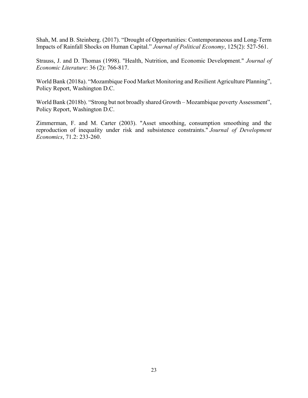Shah, M. and B. Steinberg. (2017). "Drought of Opportunities: Contemporaneous and Long-Term Impacts of Rainfall Shocks on Human Capital." *Journal of Political Economy*, 125(2): 527-561.

Strauss, J. and D. Thomas (1998). "Health, Nutrition, and Economic Development." *Journal of Economic Literature*: 36 (2): 766-817.

World Bank (2018a). "Mozambique Food Market Monitoring and Resilient Agriculture Planning", Policy Report, Washington D.C.

World Bank (2018b). "Strong but not broadly shared Growth – Mozambique poverty Assessment", Policy Report, Washington D.C.

Zimmerman, F. and M. Carter (2003). "Asset smoothing, consumption smoothing and the reproduction of inequality under risk and subsistence constraints." *Journal of Development Economics*, 71.2: 233-260.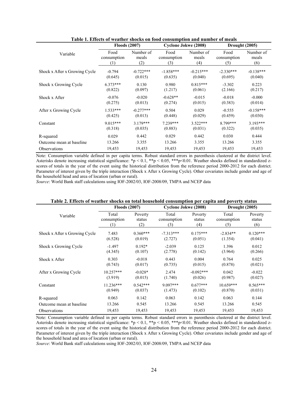|                               | <b>Floods (2007)</b> |             | Cyclone Jokwe (2008) |             | Drought (2005) |             |  |
|-------------------------------|----------------------|-------------|----------------------|-------------|----------------|-------------|--|
| Variable                      | Food                 | Number of   | Food                 | Number of   | Food           | Number of   |  |
|                               | consumption          | meals       | consumption          | meals       | consumption    | meals       |  |
|                               | (1)                  | (2)         | (3)                  | (4)         | (5)            | (6)         |  |
| Shock x After x Growing Cycle | $-0.794$             | $-0.722***$ | $-1.858***$          | $-0.215***$ | $-2.330***$    | $-0.138***$ |  |
|                               | (0.645)              | (0.015)     | (0.635)              | (0.040)     | (0.695)        | (0.040)     |  |
| Shock x Growing Cycle         | $6.373***$           | 0.130       | 0.980                | $0.815***$  | $-3.302$       | 0.223       |  |
|                               | (0.822)              | (0.097)     | (1.217)              | (0.061)     | (2.166)        | (0.217)     |  |
| Shock x After                 | $-0.076$             | $-0.020$    | $-0.628**$           | $-0.015$    | $-0.018$       | $-0.000$    |  |
|                               | (0.275)              | (0.013)     | (0.274)              | (0.015)     | (0.383)        | (0.014)     |  |
| After x Growing Cycle         | $1.533***$           | $-0.277***$ | 0.504                | 0.029       | $-0.555$       | $-0.158***$ |  |
|                               | (0.425)              | (0.013)     | (0.448)              | (0.029)     | (0.459)        | (0.030)     |  |
| Constant                      | $9.015***$           | $3.179***$  | 7.239***             | $3.522***$  | 8.799***       | $3.193***$  |  |
|                               | (0.318)              | (0.035)     | (0.883)              | (0.031)     | (0.322)        | (0.035)     |  |
| R-squared                     | 0.029                | 0.442       | 0.029                | 0.442       | 0.030          | 0.444       |  |
| Outcome mean at baseline      | 13.266               | 3.355       | 13.266               | 3.355       | 13.266         | 3.355       |  |
| <b>Observations</b>           | 19,453               | 19,453      | 19,453               | 19,453      | 19,453         | 19,453      |  |

**Table 1. Effects of weather shocks on food consumption and number of meals**

Note: Consumption variable defined in per capita terms. Robust standard errors in parenthesis clustered at the district level. Asterisks denote increasing statistical significance: \*p < 0.1, \*\*p < 0.05, \*\*\*p<0.01. Weather shocks defined in standardized zscores of totals in the year of the event using the historical distribution from the reference period 2000-2012 for each district. Parameter of interest given by the triple interaction (Shock x After x Growing Cycle). Other covariates include gender and age of the household head and area of location (urban or rural).

*Source*: World Bank staff calculations using IOF-2002/03, IOF-2008/09, TMPA and NCEP data

|                               | <b>Floods (2007)</b> |            | Cyclone Jokwe (2008) |             | Drought (2005) |            |  |
|-------------------------------|----------------------|------------|----------------------|-------------|----------------|------------|--|
| Variable                      | Total                | Poverty    | Total                | Poverty     | Total          | Poverty    |  |
|                               | consumption          | status     | consumption          | status      | consumption    | status     |  |
|                               | (1)                  | (2)        | (3)                  | (4)         | (5)            | (6)        |  |
| Shock x After x Growing Cycle | 7.483                | $0.360***$ | $-7.313***$          | $0.175***$  | $-2.834**$     | $0.120***$ |  |
|                               | (6.528)              | (0.019)    | (2.727)              | (0.051)     | (1.354)        | (0.041)    |  |
| Shock x Growing Cycle         | $-1.497$             | $0.192*$   | $-2.039$             | 0.125       | 1.396          | 0.012      |  |
|                               | (4.345)              | (0.107)    | (2.778)              | (0.142)     | (3.964)        | (0.266)    |  |
| Shock x After                 | 0.303                | $-0.018$   | 0.443                | 0.004       | 0.764          | 0.025      |  |
|                               | (0.743)              | (0.017)    | (0.735)              | (0.015)     | (0.878)        | (0.021)    |  |
| After x Growing Cycle         | $10.257***$          | $-0.028*$  | 2.474                | $-0.092***$ | 0.042          | $-0.022$   |  |
|                               | (3.919)              | (0.015)    | (1.740)              | (0.026)     | (0.987)        | (0.027)    |  |
| Constant                      | $11.236***$          | $0.542***$ | $9.097***$           | $0.677***$  | $10.659***$    | $0.565***$ |  |
|                               | (0.949)              | (0.037)    | (1.473)              | (0.102)     | (0.870)        | (0.031)    |  |
| R-squared                     | 0.063                | 0.142      | 0.063                | 0.142       | 0.063          | 0.144      |  |
| Outcome mean at baseline      | 13.266               | 0.545      | 13.266               | 0.545       | 13.266         | 0.545      |  |
| <i><b>Observations</b></i>    | 19,453               | 19,453     | 19,453               | 19,453      | 19,453         | 19,453     |  |

#### **Table 2. Effects of weather shocks on total household consumption per capita and poverty status**

Note: Consumption variable defined in per capita terms. Robust standard errors in parenthesis clustered at the district level. Asterisks denote increasing statistical significance: \*p < 0.1, \*\*p < 0.05, \*\*\*p<0.01. Weather shocks defined in standardized zscores of totals in the year of the event using the historical distribution from the reference period 2000-2012 for each district. Parameter of interest given by the triple interaction (Shock x After x Growing Cycle). Other covariates include gender and age of the household head and area of location (urban or rural).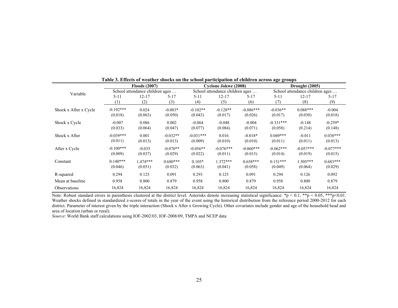|                       | таріс от епіссіз от н'еаспет зноскі он спе зеноог |                                 |            |             |                                 | participation of emitted across age groups |                |                                 |             |  |
|-----------------------|---------------------------------------------------|---------------------------------|------------|-------------|---------------------------------|--------------------------------------------|----------------|---------------------------------|-------------|--|
|                       |                                                   | <b>Floods (2007)</b>            |            |             | Cyclone Jokwe (2008)            |                                            | Drought (2005) |                                 |             |  |
| Variable              |                                                   | School attendance children ages |            |             | School attendance children ages |                                            |                | School attendance children ages |             |  |
|                       | $5 - 11$                                          | $12 - 17$                       | $5 - 17$   | 5-11        | $12 - 17$                       | $5 - 17$                                   | $5 - 11$       | $12 - 17$                       | $5 - 17$    |  |
|                       | (1)                                               | (2)                             | (3)        | (4)         | (5)                             | (6)                                        | (7)            | (8)                             | (9)         |  |
| Shock x After x Cycle | $-0.192***$                                       | 0.024                           | $-0.083*$  | $-0.102**$  | $-0.128**$                      | $-0.086***$                                | $-0.036**$     | $0.088***$                      | $-0.004$    |  |
|                       | (0.018)                                           | (0.063)                         | (0.050)    | (0.043)     | (0.017)                         | (0.026)                                    | (0.017)        | (0.030)                         | (0.018)     |  |
| Shock x Cycle         | $-0.007$                                          | 0.086                           | 0.002      | $-0.064$    | $-0.048$                        | $-0.004$                                   | $-0.331***$    | $-0.148$                        | $-0.259*$   |  |
|                       | (0.033)                                           | (0.064)                         | (0.047)    | (0.077)     | (0.084)                         | (0.071)                                    | (0.058)        | (0.214)                         | (0.148)     |  |
| Shock x After         | $-0.039***$                                       | 0.001                           | $-0.032**$ | $-0.031***$ | 0.016                           | $-0.018*$                                  | $0.049***$     | $-0.011$                        | $0.038***$  |  |
|                       | (0.011)                                           | (0.013)                         | (0.013)    | (0.009)     | (0.010)                         | (0.010)                                    | (0.011)        | (0.011)                         | (0.013)     |  |
| After x Cycle         | $-0.100***$                                       | $-0.035$                        | $-0.070**$ | $-0.056**$  | $-0.076***$                     | $-0.060***$                                | $-0.062***$    | $-0.057***$                     | $-0.077***$ |  |
|                       | (0.009)                                           | (0.037)                         | (0.029)    | (0.022)     | (0.011)                         | (0.015)                                    | (0.014)        | (0.019)                         | (0.015)     |  |
| Constant              | $0.140***$                                        | $.474***$                       | $0.680***$ | $0.105*$    | $1.372***$                      | $0.658***$                                 | $0.151***$     | $1.505***$                      | $0.683***$  |  |
|                       | (0.046)                                           | (0.051)                         | (0.032)    | (0.063)     | (0.041)                         | (0.058)                                    | (0.049)        | (0.064)                         | (0.029)     |  |
| R-squared             | 0.294                                             | 0.125                           | 0.091      | 0.293       | 0.125                           | 0.091                                      | 0.294          | 0.126                           | 0.092       |  |
| Mean at baseline      | 0.958                                             | 0.800                           | 0.879      | 0.958       | 0.800                           | 0.879                                      | 0.958          | 0.800                           | 0.879       |  |
| <b>Observations</b>   | 16,824                                            | 16,824                          | 16,824     | 16,824      | 16,824                          | 16,824                                     | 16,824         | 16,824                          | 16,824      |  |

**Table 3. Effects of weather shocks on the school participation of children across age groups**

Note: Robust standard errors in parenthesis clustered at the district level. Asterisks denote increasing statistical significance: \*p < 0.1, \*\*p < 0.05, \*\*\*p<0.01. Weather shocks defined in standardized z-scores of totals in the year of the event using the historical distribution from the reference period 2000-2012 for each district. Parameter of interest given by the triple interaction (Shock x After x Growing Cycle). Other covariates include gender and age of the household head and area of location (urban or rural).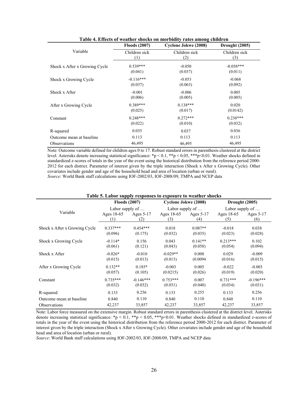|                               | <b>Floods (2007)</b> | <b>Cyclone Jokwe (2008)</b> | Drought (2005) |
|-------------------------------|----------------------|-----------------------------|----------------|
| Variable                      | Children sick        | Children sick               | Children sick  |
|                               | (1)                  | (2)                         | (3)            |
| Shock x After x Growing Cycle | $0.539***$           | $-0.050$                    | $-0.058***$    |
|                               | (0.041)              | (0.037)                     | (0.011)        |
| Shock x Growing Cycle         | $-0.116***$          | $-0.053$                    | $-0.068$       |
|                               | (0.037)              | (0.063)                     | (0.092)        |
| Shock x After                 | $-0.001$             | $-0.006$                    | 0.005          |
|                               | (0.006)              | (0.005)                     | (0.005)        |
| After x Growing Cycle         | $0.389***$           | $0.138***$                  | 0.020          |
|                               | (0.025)              | (0.017)                     | (0.0142)       |
| Constant                      | $0.248***$           | $0.272***$                  | $0.238***$     |
|                               | (0.022)              | (0.010)                     | (0.032)        |
| R-squared                     | 0.035                | 0.037                       | 0.036          |
| Outcome mean at baseline      | 0.113                | 0.113                       | 0.113          |
| Observations                  | 46,495               | 46,495                      | 46,495         |

| Table 4. Effects of weather shocks on morbidity rates among children |  |  |
|----------------------------------------------------------------------|--|--|
|----------------------------------------------------------------------|--|--|

Note: Outcome variable defined for children ages 0 to 17. Robust standard errors in parenthesis clustered at the district level. Asterisks denote increasing statistical significance: \*p < 0.1, \*\*p < 0.05, \*\*\*p<0.01. Weather shocks defined in standardized z-scores of totals in the year of the event using the historical distribution from the reference period 2000- 2012 for each district. Parameter of interest given by the triple interaction (Shock x After x Growing Cycle). Other covariates include gender and age of the household head and area of location (urban or rural). *Source*: World Bank staff calculations using IOF-2002/03, IOF-2008/09, TMPA and NCEP data

| Table 5. Eabor supply responses to exposure to weather shoeks |                         |             |                         |           |                         |             |  |  |  |  |  |  |
|---------------------------------------------------------------|-------------------------|-------------|-------------------------|-----------|-------------------------|-------------|--|--|--|--|--|--|
|                                                               | <b>Floods (2007)</b>    |             | Cyclone Jokwe (2008)    |           | Drought (2005)          |             |  |  |  |  |  |  |
|                                                               | Labor supply of $\dots$ |             | Labor supply of $\dots$ |           | Labor supply of $\dots$ |             |  |  |  |  |  |  |
| Variable                                                      | Ages 18-65              | Ages 5-17   | Ages 18-65              | Ages 5-17 | Ages 18-65              | Ages $5-17$ |  |  |  |  |  |  |
|                                                               | (1)                     | (2)         | (3)                     | (4)       | (5)                     | (6)         |  |  |  |  |  |  |
| Shock x After x Growing Cycle                                 | $0.337***$              | $0.454***$  | 0.018                   | $0.087**$ | $-0.018$                | 0.038       |  |  |  |  |  |  |
|                                                               | (0.096)                 | (0.175)     | (0.032)                 | (0.035)   | (0.023)                 | (0.028)     |  |  |  |  |  |  |
| Shock x Growing Cycle                                         | $-0.114*$               | 0.156       | 0.043                   | $0.141**$ | $0.213***$              | 0.102       |  |  |  |  |  |  |
|                                                               | (0.061)                 | (0.121)     | (0.043)                 | (0.058)   | (0.054)                 | (0.094)     |  |  |  |  |  |  |
| Shock x After                                                 | $-0.026*$               | $-0.010$    | $-0.029**$              | 0.008     | 0.029                   | $-0.009$    |  |  |  |  |  |  |
|                                                               | (0.015)                 | (0.013)     | (0.013)                 | (0.0094)  | (0.016)                 | (0.015)     |  |  |  |  |  |  |
| After x Growing Cycle                                         | $0.132**$               | $0.185*$    | $-0.003$                | 0.005     | $-0.022$                | $-0.003$    |  |  |  |  |  |  |
|                                                               | (0.057)                 | (0.105)     | (0.0215)                | (0.026)   | (0.019)                 | (0.020)     |  |  |  |  |  |  |
| Constant                                                      | $0.735***$              | $-0.146***$ | $0.753***$              | 0.007     | $0.731***$              | $-0.196***$ |  |  |  |  |  |  |
|                                                               | (0.032)                 | (0.032)     | (0.031)                 | (0.040)   | (0.034)                 | (0.031)     |  |  |  |  |  |  |
| R-squared                                                     | 0.133                   | 0.256       | 0.133                   | 0.255     | 0.133                   | 0.256       |  |  |  |  |  |  |
| Outcome mean at baseline                                      | 0.840                   | 0.110       | 0.840                   | 0.110     | 0.840                   | 0.110       |  |  |  |  |  |  |
| <b>Observations</b>                                           | 42,237                  | 33,857      | 42,237                  | 33,857    | 42,237                  | 33,857      |  |  |  |  |  |  |

#### **Table 5. Labor supply responses to exposure to weather shocks**

Note: Labor force measured on the extensive margin. Robust standard errors in parenthesis clustered at the district level. Asterisks denote increasing statistical significance: \*p < 0.1, \*\*p < 0.05, \*\*\*p < 0.01. Weather shocks defined in standardized z-scores of totals in the year of the event using the historical distribution from the reference period 2000-2012 for each district. Parameter of interest given by the triple interaction (Shock x After x Growing Cycle). Other covariates include gender and age of the household head and area of location (urban or rural).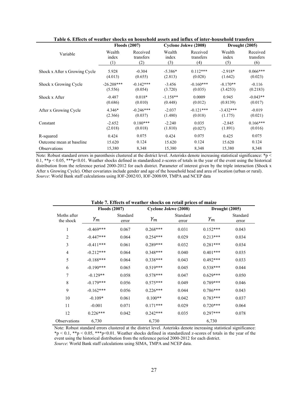|                               | <b>Floods (2007)</b> |             |            | Cyclone Jokwe (2008) | Drought (2005) |            |  |
|-------------------------------|----------------------|-------------|------------|----------------------|----------------|------------|--|
| Variable                      | Wealth               | Received    | Wealth     | Received             | Wealth         | Received   |  |
|                               | index                | transfers   | index      | transfers            | index          | transfers  |  |
|                               | (1)                  | (2)         | (3)        | (4)                  | (5)            | (6)        |  |
| Shock x After x Growing Cycle | 5.928                | $-0.304$    | $-5.386*$  | $0.112***$           | $-2.918*$      | $0.066***$ |  |
|                               | (4.013)              | (0.655)     | (2.813)    | (0.028)              | (1.642)        | (0.023)    |  |
| Shock x Growing Cycle         | $-26.208***$         | $-0.142***$ | $-3.456$   | $-0.160***$          | $-8.170**$     | $-0.116$   |  |
|                               | (5.556)              | (0.054)     | (3.720)    | (0.035)              | (3.4253)       | (0.2183)   |  |
| Shock x After                 | $-0.487$             | $0.018*$    | $-1.158**$ | 0.0009               | 0.945          | $-0.043**$ |  |
|                               | (0.686)              | (0.010)     | (0.448)    | (0.012)              | (0.8139)       | (0.017)    |  |
| After x Growing Cycle         | 4.346*               | $-0.246***$ | $-2.037$   | $-0.121***$          | $-3.432***$    | $-0.019$   |  |
|                               | (2.366)              | (0.037)     | (1.480)    | (0.018)              | (1.175)        | (0.021)    |  |
| Constant                      | $-2.652$             | $0.180***$  | $-2.240$   | 0.035                | $-2.845$       | $0.166***$ |  |
|                               | (2.018)              | (0.018)     | (1.810)    | (0.027)              | (1.891)        | (0.016)    |  |
| R-squared                     | 0.424                | 0.075       | 0.424      | 0.075                | 0.425          | 0.075      |  |
| Outcome mean at baseline      | 15.620               | 0.124       | 15.620     | 0.124                | 15.620         | 0.124      |  |
| <b>Observations</b>           | 15,380               | 8,348       | 15,380     | 8,348                | 15,380         | 8,348      |  |

**Table 6. Effects of weather shocks on household assets and influx of inter-household transfers**

Note: Robust standard errors in parenthesis clustered at the district level. Asterisks denote increasing statistical significance: \*p < 0.1, \*\*p < 0.05, \*\*\*p<0.01. Weather shocks defined in standardized z-scores of totals in the year of the event using the historical distribution from the reference period 2000-2012 for each district. Parameter of interest given by the triple interaction (Shock x After x Growing Cycle). Other covariates include gender and age of the household head and area of location (urban or rural). *Source*: World Bank staff calculations using IOF-2002/03, IOF-2008/09, TMPA and NCEP data

| Table 7. Effects of weather shocks on retail prices of maize |                      |                   |            |                      |            |                   |  |  |  |  |
|--------------------------------------------------------------|----------------------|-------------------|------------|----------------------|------------|-------------------|--|--|--|--|
|                                                              | <b>Floods (2007)</b> |                   |            | Cyclone Jokwe (2008) |            | Drought (2005)    |  |  |  |  |
| Moths after<br>the shock                                     | $\gamma_m$           | Standard<br>error | $\gamma_m$ | Standard<br>error    | $\gamma_m$ | Standard<br>error |  |  |  |  |
| $\mathbf{1}$                                                 | $-0.469***$          | 0.067             | $0.268***$ | 0.031                | $0.152***$ | 0.043             |  |  |  |  |
| $\overline{2}$                                               | $-0.447***$          | 0.064             | $0.254***$ | 0.029                | $0.213***$ | 0.034             |  |  |  |  |
| 3                                                            | $-0.411***$          | 0.061             | $0.289***$ | 0.032                | $0.281***$ | 0.034             |  |  |  |  |
| $\overline{4}$                                               | $-0.212***$          | 0.064             | $0.348***$ | 0.040                | $0.401***$ | 0.035             |  |  |  |  |
| 5                                                            | $-0.188***$          | 0.064             | $0.338***$ | 0.043                | $0.492***$ | 0.033             |  |  |  |  |
| 6                                                            | $-0.190***$          | 0.065             | $0.519***$ | 0.045                | $0.538***$ | 0.044             |  |  |  |  |
| $\overline{7}$                                               | $-0.129**$           | 0.058             | $0.578***$ | 0.047                | $0.629***$ | 0.050             |  |  |  |  |
| $\,$ 8 $\,$                                                  | $-0.179***$          | 0.056             | $0.575***$ | 0.049                | $0.789***$ | 0.046             |  |  |  |  |
| 9                                                            | $-0.162***$          | 0.056             | $0.226***$ | 0.044                | $0.786***$ | 0.043             |  |  |  |  |
| 10                                                           | $-0.109*$            | 0.061             | $0.100**$  | 0.042                | $0.783***$ | 0.037             |  |  |  |  |
| 11                                                           | $-0.001$             | 0.071             | $0.171***$ | 0.029                | $0.720***$ | 0.064             |  |  |  |  |
| 12                                                           | $0.226***$           | 0.042             | $0.242***$ | 0.035                | $0.297***$ | 0.078             |  |  |  |  |
| Observations                                                 | 6,730                |                   | 6,730      |                      | 6,730      |                   |  |  |  |  |

Note: Robust standard errors clustered at the district level. Asterisks denote increasing statistical significance:  $*_p$  < 0.1,  $*_p$  < 0.05,  $**_p$  < 0.01. Weather shocks defined in standardized z-scores of totals in the year of the event using the historical distribution from the reference period 2000-2012 for each district. *Source*: World Bank staff calculations using SIMA, TMPA and NCEP data.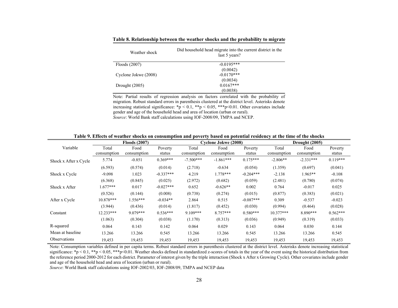| Weather shock        | Did household head migrate into the current district in the<br>last 5 years? |
|----------------------|------------------------------------------------------------------------------|
| Floods $(2007)$      | $-0.0195***$                                                                 |
|                      | (0.0042)                                                                     |
| Cyclone Jokwe (2008) | $-0.0170***$                                                                 |
|                      | (0.0034)                                                                     |
| Drought $(2005)$     | $0.0167***$                                                                  |
|                      | (0.0038)                                                                     |

**Table 8. Relationship between the weather shocks and the probability to migrate** 

Note: Partial results of regression analysis on factors correlated with the probability of migration. Robust standard errors in parenthesis clustered at the district level. Asterisks denote increasing statistical significance:  $\mathbf{\hat{p}}$  < 0.1,  $\mathbf{\hat{*}\hat{p}}$  < 0.05,  $\mathbf{\hat{*}\hat{p}}$  < 0.01. Other covariates include gender and age of the household head and area of location (urban or rural). *Source*: World Bank staff calculations using IOF-2008/09, TMPA and NCEP.

|                       |             | <b>Floods (2007)</b> |             |             | <b>Cyclone Jokwe (2008)</b> |             | Drought (2005) |             |            |  |
|-----------------------|-------------|----------------------|-------------|-------------|-----------------------------|-------------|----------------|-------------|------------|--|
| Variable              | Total       | Food                 | Poverty     | Total       | Food                        | Poverty     | Total          | Food        | Poverty    |  |
|                       | consumption | consumption          | status      | consumption | consumption                 | status      | consumption    | consumption | status     |  |
| Shock x After x Cycle | 5.774       | $-0.851$             | $0.369***$  | $-7.500***$ | $-1.861***$                 | $0.175***$  | $-2.806**$     | $-2.331***$ | $0.119***$ |  |
|                       | (6.593)     | (0.574)              | (0.014)     | (2.718)     | $-0.634$                    | (0.054)     | (1.359)        | (0.697)     | (0.041)    |  |
| Shock x Cycle         | $-9.098$    | 1.023                | $-0.337***$ | 4.219       | $1.778***$                  | $-0.204***$ | $-2.138$       | $1.965**$   | $-0.108$   |  |
|                       | (6.368)     | (0.845)              | (0.025)     | (2.972)     | (0.682)                     | (0.059)     | (2.481)        | (0.780)     | (0.074)    |  |
| Shock x After         | $1.677***$  | 0.017                | $-0.027***$ | 0.652       | $-0.626**$                  | 0.002       | 0.764          | $-0.017$    | 0.025      |  |
|                       | (0.526)     | (0.144)              | (0.008)     | (0.738)     | (0.274)                     | (0.015)     | (0.877)        | (0.383)     | (0.021)    |  |
| After x Cycle         | $10.878***$ | 1.556***             | $-0.034**$  | 2.864       | 0.515                       | $-0.087***$ | 0.309          | $-0.537$    | $-0.023$   |  |
|                       | (3.944)     | (0.436)              | (0.014)     | (1.817)     | (0.452)                     | (0.030)     | (0.994)        | (0.464)     | (0.028)    |  |
| Constant              | 12.233***   | 9.079***             | $0.536***$  | $9.109***$  | $8.757***$                  | $0.580***$  | $10.377***$    | 8.890***    | $0.562***$ |  |
|                       | (1.063)     | (0.304)              | (0.038)     | (1.170)     | (0.313)                     | (0.036)     | (0.949)        | (0.319)     | (0.033)    |  |
| R-squared             | 0.064       | 0.143                | 0.142       | 0.064       | 0.029                       | 0.143       | 0.064          | 0.030       | 0.144      |  |
| Mean at baseline      | 13.266      | 13.266               | 0.545       | 13.266      | 13.266                      | 0.545       | 13.266         | 13.266      | 0.545      |  |
| <b>Observations</b>   | 19,453      | 19,453               | 19,453      | 19,453      | 19,453                      | 19,453      | 19,453         | 19,453      | 19,453     |  |

**Table 9. Effects of weather shocks on consumption and poverty based on potential residency at the time of the shocks** 

Note: Consumption variables defined in per capita terms. Robust standard errors in parenthesis clustered at the district level. Asterisks denote increasing statistical significance: \*p < 0.1, \*\*p < 0.05, \*\*\*p<0.01. Weather shocks defined in standardized z-scores of totals in the year of the event using the historical distribution from the reference period 2000-2012 for each district. Parameter of interest given by the triple interaction (Shock x After x Growing Cycle). Other covariates include gender and age of the household head and area of location (urban or rural).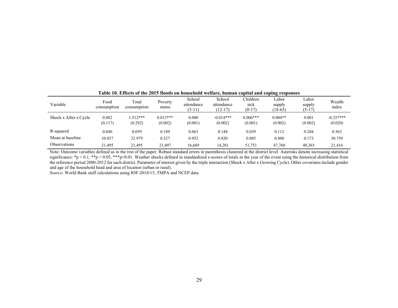| Variable              | Food<br>consumption | Total<br>consumption | Poverty<br>status     | School<br>attendance<br>$(5-11)$ | School<br>attendance<br>$(12-17)$ | Children<br>sick<br>$(0-17)$ | Labor<br>supply<br>$(18-65)$ | Labor<br>supply<br>$(5-17)$ | Wealth<br>index        |
|-----------------------|---------------------|----------------------|-----------------------|----------------------------------|-----------------------------------|------------------------------|------------------------------|-----------------------------|------------------------|
| Shock x After x Cycle | 0.082<br>(0.117)    | $.512***$<br>(0.292) | $0.013***$<br>(0.002) | 0.000<br>(0.001)                 | $-0.014***$<br>(0.002)            | $0.006***$<br>(0.001)        | $0.004**$<br>(0.002)         | 0.001<br>(0.002)            | $-0.257***$<br>(0.020) |
| R-squared             | 0.040               | 0.059                | 0.189                 | 0.063                            | 0.148                             | 0.039                        | 0.112                        | 0.204                       | 0.563                  |
| Mean at baseline      | 10.857              | 32.979               | 0.327                 | 0.952                            | 0.820                             | 0.085                        | 0.800                        | 0.173                       | 30.759                 |
| <b>Observations</b>   | 21.495              | 21,495               | 21.497                | 16.669                           | 14.201                            | 51,751                       | 47.760                       | 40,365                      | 21,416                 |

**Table 10. Effects of the 2015 floods on household welfare, human capital and coping responses** 

Note: Outcome variables defined as in the rest of the paper. Robust standard errors in parenthesis clustered at the district level. Asterisks denote increasing statistical significance: \*p < 0.1, \*\*p < 0.05, \*\*\*p<0.01. Weather shocks defined in standardized z-scores of totals in the year of the event using the historical distribution from the reference period 2000-2012 for each district. Parameter of interest given by the triple interaction (Shock x After x Growing Cycle). Other covariates include gender and age of the household head and area of location (urban or rural).

*Source*: World Bank staff calculations using IOF-2014/15, TMPA and NCEP data.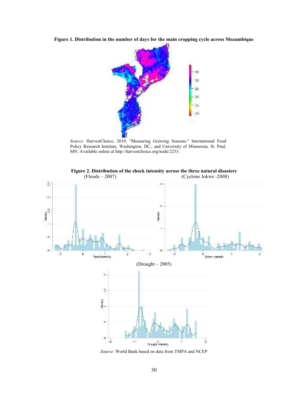**Figure 1. Distribution in the number of days for the main cropping cycle across Mozambique** 



*Source*: HarvestChoice, 2010. "Measuring Growing Seasons." International Food Policy Research Institute, Washington, DC., and University of Minnesota, St. Paul, MN. Available online at http://harvestchoice.org/node/2253.



**Figure 2. Distribution of the shock intensity across the three natural disasters** 

*Source*: World Bank based on data from TMPA and NCEP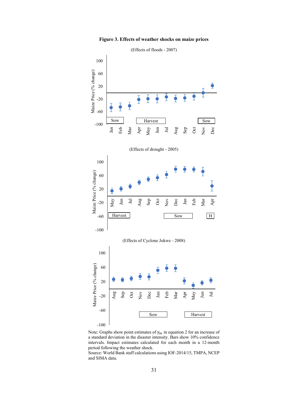



Note: Graphs show point estimates of  $\gamma_m$  in equation 2 for an increase of a standard deviation in the disaster intensity. Bars show 10% confidence intervals. Impact estimates calculated for each month in a 12-month period following the weather shock.

Source: World Bank staff calculations using IOF-2014/15, TMPA, NCEP and SIMA data.